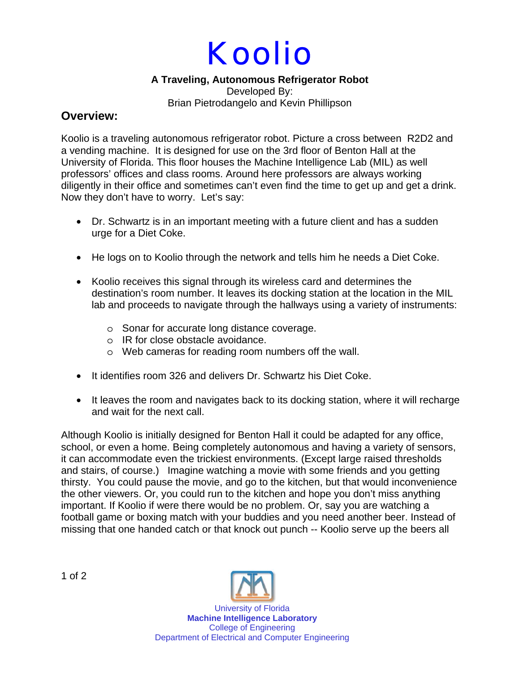

## **A Traveling, Autonomous Refrigerator Robot**

Developed By: Brian Pietrodangelo and Kevin Phillipson

## **Overview:**

Koolio is a traveling autonomous refrigerator robot. Picture a cross between R2D2 and a vending machine. It is designed for use on the 3rd floor of Benton Hall at the University of Florida. This floor houses the Machine Intelligence Lab (MIL) as well professors' offices and class rooms. Around here professors are always working diligently in their office and sometimes can't even find the time to get up and get a drink. Now they don't have to worry. Let's say:

- Dr. Schwartz is in an important meeting with a future client and has a sudden urge for a Diet Coke.
- He logs on to Koolio through the network and tells him he needs a Diet Coke.
- Koolio receives this signal through its wireless card and determines the destination's room number. It leaves its docking station at the location in the MIL lab and proceeds to navigate through the hallways using a variety of instruments:
	- o Sonar for accurate long distance coverage.
	- o IR for close obstacle avoidance.
	- o Web cameras for reading room numbers off the wall.
- It identifies room 326 and delivers Dr. Schwartz his Diet Coke.
- It leaves the room and navigates back to its docking station, where it will recharge and wait for the next call.

Although Koolio is initially designed for Benton Hall it could be adapted for any office, school, or even a home. Being completely autonomous and having a variety of sensors, it can accommodate even the trickiest environments. (Except large raised thresholds and stairs, of course.) Imagine watching a movie with some friends and you getting thirsty. You could pause the movie, and go to the kitchen, but that would inconvenience the other viewers. Or, you could run to the kitchen and hope you don't miss anything important. If Koolio if were there would be no problem. Or, say you are watching a football game or boxing match with your buddies and you need another beer. Instead of missing that one handed catch or that knock out punch -- Koolio serve up the beers all



University of Florida **Machine Intelligence Laboratory**  College of Engineering Department of Electrical and Computer Engineering

1 of 2